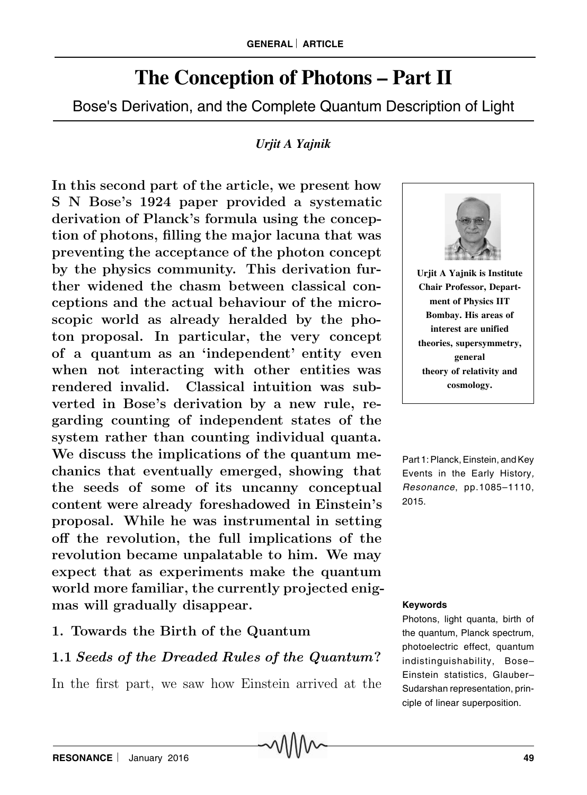# **The Conception of Photons – Part II**

Bose's Derivation, and the Complete Quantum Description of Light

#### *Urjit A Yajnik*

In this second part of the article, we present how S N Bose's 1924 paper provided a systematic derivation of Planck's formula using the conception of photons, filling the major lacuna that was preventing the acceptance of the photon concept by the physics community. This derivation further widened the chasm between classical conceptions and the actual behaviour of the microscopic world as already heralded by the photon proposal. In particular, the very concept of a quantum as an 'independent' entity even when not interacting with other entities was rendered invalid. Classical intuition was subverted in Bose's derivation by a new rule, regarding counting of independent states of the system rather than counting individual quanta. We discuss the implications of the quantum mechanics that eventually emerged, showing that the seeds of some of its uncanny conceptual content were already foreshadowed in Einstein's proposal. While he was instrumental in setting off the revolution, the full implications of the revolution became unpalatable to him. We may expect that as experiments make the quantum world more familiar, the currently projected enigmas will gradually disappear.

#### 1. Towards the Birth of the Quantum

#### 1.1 Seeds of the Dreaded Rules of the Quantum?

In the first part, we saw how Einstein arrived at the



**Urjit A Yajnik is Institute Chair Professor, Department of Physics IIT Bombay. His areas of interest are unified theories, supersymmetry, general theory of relativity and cosmology.**

Part 1: Planck, Einstein, and Key Events in the Early History, Resonance, pp.1085–1110, 2015.

#### **Keywords**

Photons, light quanta, birth of the quantum, Planck spectrum, photoelectric effect, quantum indistinguishability, Bose– Einstein statistics, Glauber– Sudarshan representation, principle of linear superposition.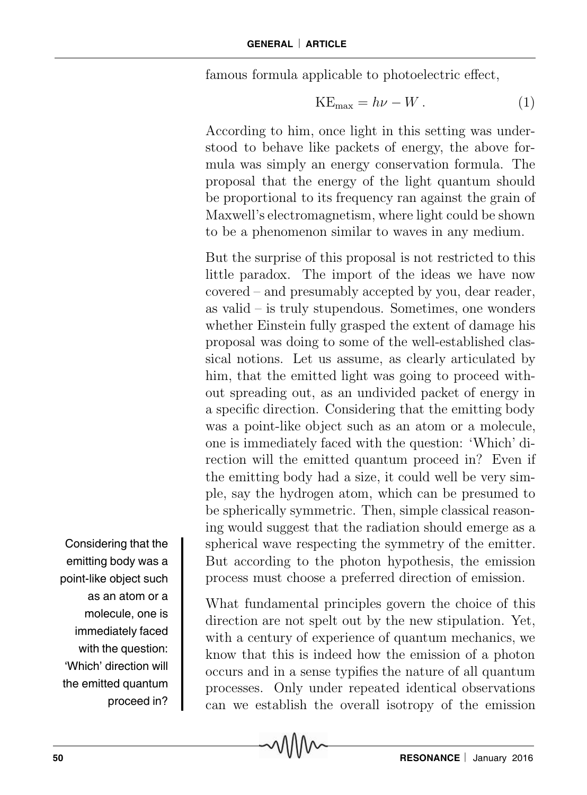famous formula applicable to photoelectric effect,

$$
KE_{\text{max}} = h\nu - W. \tag{1}
$$

According to him, once light in this setting was understood to behave like packets of energy, the above formula was simply an energy conservation formula. The proposal that the energy of the light quantum should be proportional to its frequency ran against the grain of Maxwell's electromagnetism, where light could be shown to be a phenomenon similar to waves in any medium.

But the surprise of this proposal is not restricted to this little paradox. The import of the ideas we have now covered – and presumably accepted by you, dear reader, as valid – is truly stupendous. Sometimes, one wonders whether Einstein fully grasped the extent of damage his proposal was doing to some of the well-established classical notions. Let us assume, as clearly articulated by him, that the emitted light was going to proceed without spreading out, as an undivided packet of energy in a specific direction. Considering that the emitting body was a point-like object such as an atom or a molecule, one is immediately faced with the question: 'Which' direction will the emitted quantum proceed in? Even if the emitting body had a size, it could well be very simple, say the hydrogen atom, which can be presumed to be spherically symmetric. Then, simple classical reasoning would suggest that the radiation should emerge as a spherical wave respecting the symmetry of the emitter. But according to the photon hypothesis, the emission process must choose a preferred direction of emission.

What fundamental principles govern the choice of this direction are not spelt out by the new stipulation. Yet, with a century of experience of quantum mechanics, we know that this is indeed how the emission of a photon occurs and in a sense typifies the nature of all quantum processes. Only under repeated identical observations can we establish the overall isotropy of the emission

Considering that the emitting body was a point-like object such as an atom or a molecule, one is immediately faced with the question: 'Which' direction will the emitted quantum proceed in?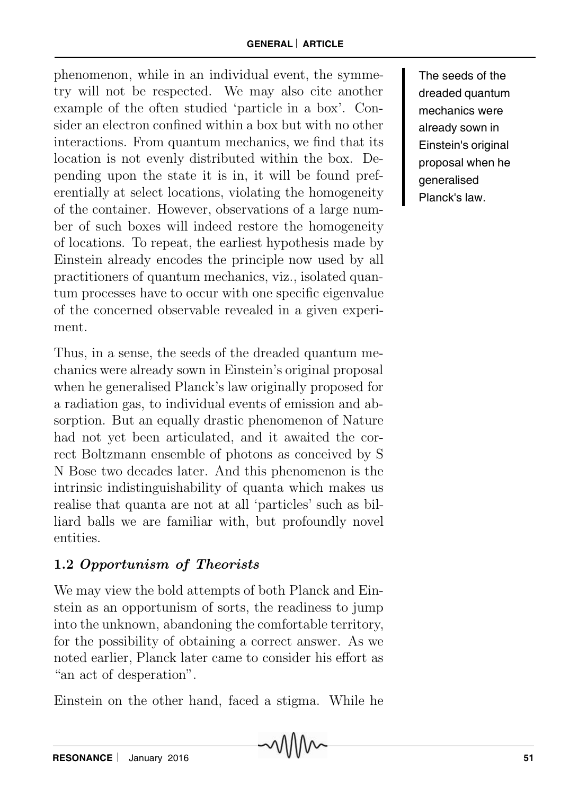phenomenon, while in an individual event, the symmetry will not be respected. We may also cite another example of the often studied 'particle in a box'. Consider an electron confined within a box but with no other interactions. From quantum mechanics, we find that its location is not evenly distributed within the box. Depending upon the state it is in, it will be found preferentially at select locations, violating the homogeneity of the container. However, observations of a large number of such boxes will indeed restore the homogeneity of locations. To repeat, the earliest hypothesis made by Einstein already encodes the principle now used by all practitioners of quantum mechanics, viz., isolated quantum processes have to occur with one specific eigenvalue of the concerned observable revealed in a given experiment.

Thus, in a sense, the seeds of the dreaded quantum mechanics were already sown in Einstein's original proposal when he generalised Planck's law originally proposed for a radiation gas, to individual events of emission and absorption. But an equally drastic phenomenon of Nature had not yet been articulated, and it awaited the correct Boltzmann ensemble of photons as conceived by S N Bose two decades later. And this phenomenon is the intrinsic indistinguishability of quanta which makes us realise that quanta are not at all 'particles' such as billiard balls we are familiar with, but profoundly novel entities.

## 1.2 Opportunism of Theorists

We may view the bold attempts of both Planck and Einstein as an opportunism of sorts, the readiness to jump into the unknown, abandoning the comfortable territory, for the possibility of obtaining a correct answer. As we noted earlier, Planck later came to consider his effort as "an act of desperation".

Einstein on the other hand, faced a stigma. While he

The seeds of the dreaded quantum mechanics were already sown in Einstein's original proposal when he generalised Planck's law.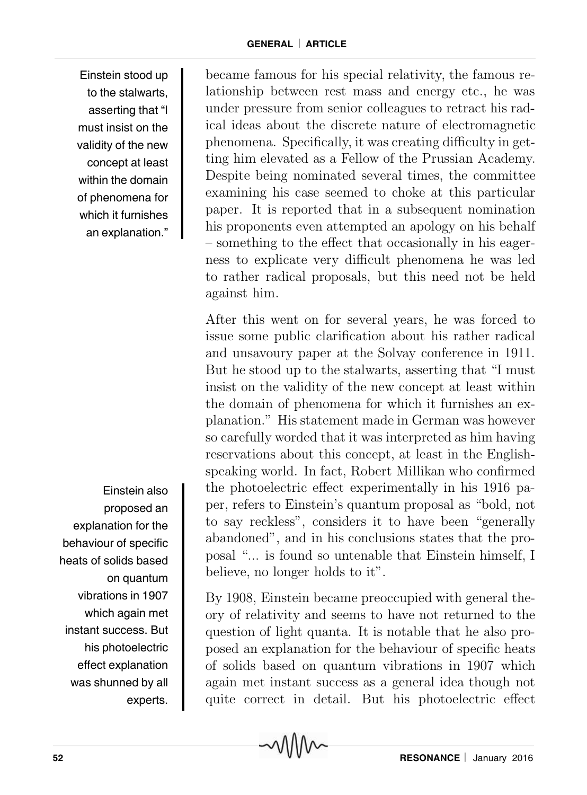Einstein stood up to the stalwarts, asserting that "I must insist on the validity of the new concept at least within the domain of phenomena for which it furnishes an explanation."

Einstein also proposed an explanation for the behaviour of specific heats of solids based on quantum vibrations in 1907 which again met instant success. But his photoelectric effect explanation was shunned by all experts.

became famous for his special relativity, the famous relationship between rest mass and energy etc., he was under pressure from senior colleagues to retract his radical ideas about the discrete nature of electromagnetic phenomena. Specifically, it was creating difficulty in getting him elevated as a Fellow of the Prussian Academy. Despite being nominated several times, the committee examining his case seemed to choke at this particular paper. It is reported that in a subsequent nomination his proponents even attempted an apology on his behalf – something to the effect that occasionally in his eagerness to explicate very difficult phenomena he was led to rather radical proposals, but this need not be held against him.

After this went on for several years, he was forced to issue some public clarification about his rather radical and unsavoury paper at the Solvay conference in 1911. But he stood up to the stalwarts, asserting that "I must insist on the validity of the new concept at least within the domain of phenomena for which it furnishes an explanation." His statement made in German was however so carefully worded that it was interpreted as him having reservations about this concept, at least in the Englishspeaking world. In fact, Robert Millikan who confirmed the photoelectric effect experimentally in his 1916 paper, refers to Einstein's quantum proposal as "bold, not to say reckless", considers it to have been "generally abandoned", and in his conclusions states that the proposal "... is found so untenable that Einstein himself, I believe, no longer holds to it".

By 1908, Einstein became preoccupied with general theory of relativity and seems to have not returned to the question of light quanta. It is notable that he also proposed an explanation for the behaviour of specific heats of solids based on quantum vibrations in 1907 which again met instant success as a general idea though not quite correct in detail. But his photoelectric effect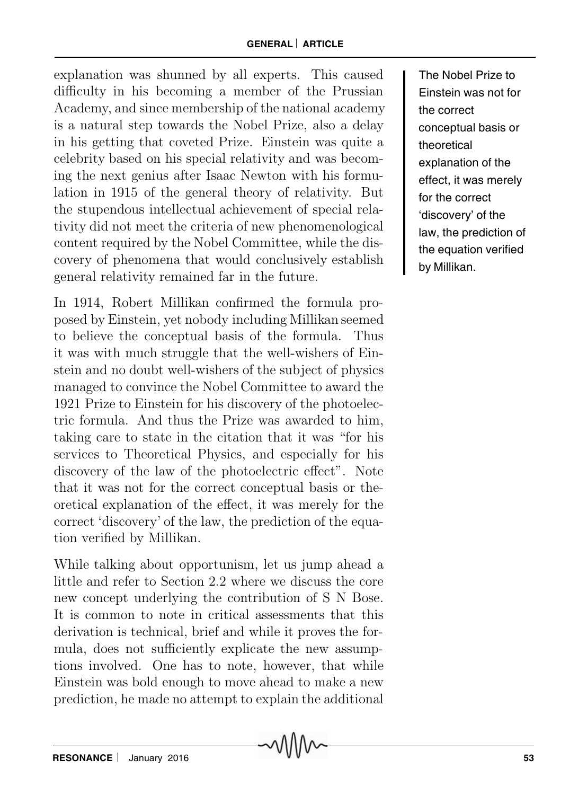explanation was shunned by all experts. This caused difficulty in his becoming a member of the Prussian Academy, and since membership of the national academy is a natural step towards the Nobel Prize, also a delay in his getting that coveted Prize. Einstein was quite a celebrity based on his special relativity and was becoming the next genius after Isaac Newton with his formulation in 1915 of the general theory of relativity. But the stupendous intellectual achievement of special relativity did not meet the criteria of new phenomenological content required by the Nobel Committee, while the discovery of phenomena that would conclusively establish general relativity remained far in the future.

In 1914, Robert Millikan confirmed the formula proposed by Einstein, yet nobody including Millikan seemed to believe the conceptual basis of the formula. Thus it was with much struggle that the well-wishers of Einstein and no doubt well-wishers of the subject of physics managed to convince the Nobel Committee to award the 1921 Prize to Einstein for his discovery of the photoelectric formula. And thus the Prize was awarded to him, taking care to state in the citation that it was "for his services to Theoretical Physics, and especially for his discovery of the law of the photoelectric effect". Note that it was not for the correct conceptual basis or theoretical explanation of the effect, it was merely for the correct 'discovery' of the law, the prediction of the equation verified by Millikan.

While talking about opportunism, let us jump ahead a little and refer to Section 2.2 where we discuss the core new concept underlying the contribution of S N Bose. It is common to note in critical assessments that this derivation is technical, brief and while it proves the formula, does not sufficiently explicate the new assumptions involved. One has to note, however, that while Einstein was bold enough to move ahead to make a new prediction, he made no attempt to explain the additional

The Nobel Prize to Einstein was not for the correct conceptual basis or theoretical explanation of the effect, it was merely for the correct 'discovery' of the law, the prediction of the equation verified by Millikan.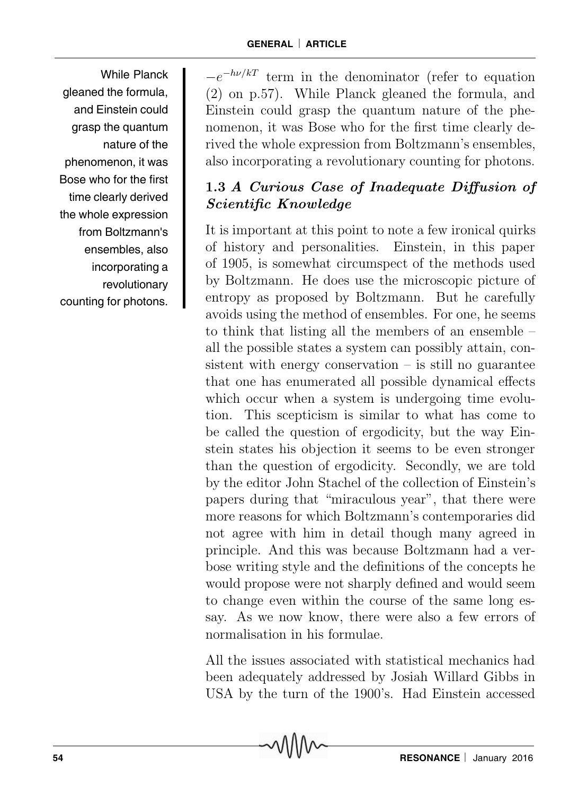While Planck gleaned the formula, and Einstein could grasp the quantum nature of the phenomenon, it was Bose who for the first time clearly derived the whole expression from Boltzmann's ensembles, also incorporating a revolutionary counting for photons.

 $-e^{-h\nu/kT}$  term in the denominator (refer to equation (2) on p.57). While Planck gleaned the formula, and Einstein could grasp the quantum nature of the phenomenon, it was Bose who for the first time clearly derived the whole expression from Boltzmann's ensembles, also incorporating a revolutionary counting for photons.

# 1.3 A Curious Case of Inadequate Diffusion of Scientific Knowledge

It is important at this point to note a few ironical quirks of history and personalities. Einstein, in this paper of 1905, is somewhat circumspect of the methods used by Boltzmann. He does use the microscopic picture of entropy as proposed by Boltzmann. But he carefully avoids using the method of ensembles. For one, he seems to think that listing all the members of an ensemble – all the possible states a system can possibly attain, consistent with energy conservation – is still no guarantee that one has enumerated all possible dynamical effects which occur when a system is undergoing time evolution. This scepticism is similar to what has come to be called the question of ergodicity, but the way Einstein states his objection it seems to be even stronger than the question of ergodicity. Secondly, we are told by the editor John Stachel of the collection of Einstein's papers during that "miraculous year", that there were more reasons for which Boltzmann's contemporaries did not agree with him in detail though many agreed in principle. And this was because Boltzmann had a verbose writing style and the definitions of the concepts he would propose were not sharply defined and would seem to change even within the course of the same long essay. As we now know, there were also a few errors of normalisation in his formulae.

All the issues associated with statistical mechanics had been adequately addressed by Josiah Willard Gibbs in USA by the turn of the 1900's. Had Einstein accessed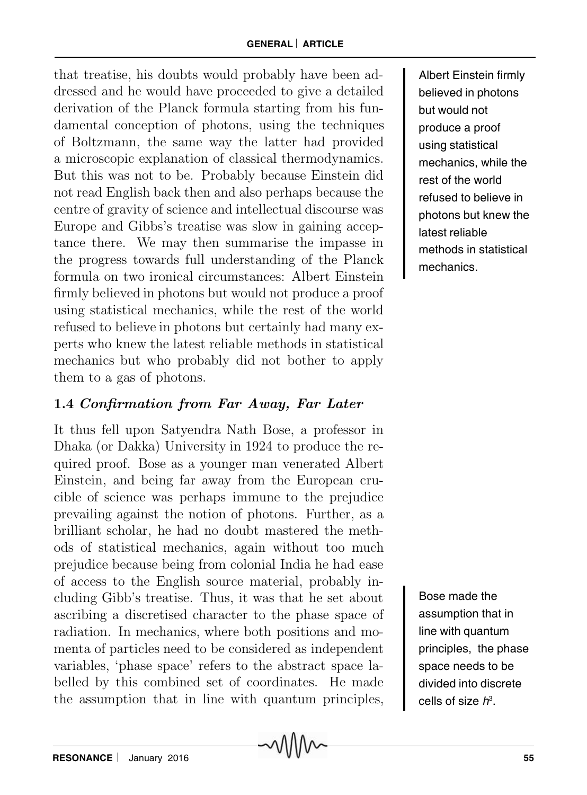that treatise, his doubts would probably have been addressed and he would have proceeded to give a detailed derivation of the Planck formula starting from his fundamental conception of photons, using the techniques of Boltzmann, the same way the latter had provided a microscopic explanation of classical thermodynamics. But this was not to be. Probably because Einstein did not read English back then and also perhaps because the centre of gravity of science and intellectual discourse was Europe and Gibbs's treatise was slow in gaining acceptance there. We may then summarise the impasse in the progress towards full understanding of the Planck formula on two ironical circumstances: Albert Einstein firmly believed in photons but would not produce a proof using statistical mechanics, while the rest of the world refused to believe in photons but certainly had many experts who knew the latest reliable methods in statistical mechanics but who probably did not bother to apply them to a gas of photons.

## 1.4 Confirmation from Far Away, Far Later

It thus fell upon Satyendra Nath Bose, a professor in Dhaka (or Dakka) University in 1924 to produce the required proof. Bose as a younger man venerated Albert Einstein, and being far away from the European crucible of science was perhaps immune to the prejudice prevailing against the notion of photons. Further, as a brilliant scholar, he had no doubt mastered the methods of statistical mechanics, again without too much prejudice because being from colonial India he had ease of access to the English source material, probably including Gibb's treatise. Thus, it was that he set about ascribing a discretised character to the phase space of radiation. In mechanics, where both positions and momenta of particles need to be considered as independent variables, 'phase space' refers to the abstract space labelled by this combined set of coordinates. He made the assumption that in line with quantum principles,

Albert Einstein firmly believed in photons but would not produce a proof using statistical mechanics, while the rest of the world refused to believe in photons but knew the latest reliable methods in statistical mechanics.

Bose made the assumption that in line with quantum principles, the phase space needs to be divided into discrete cells of size  $h^{\!\scriptscriptstyle 3}.$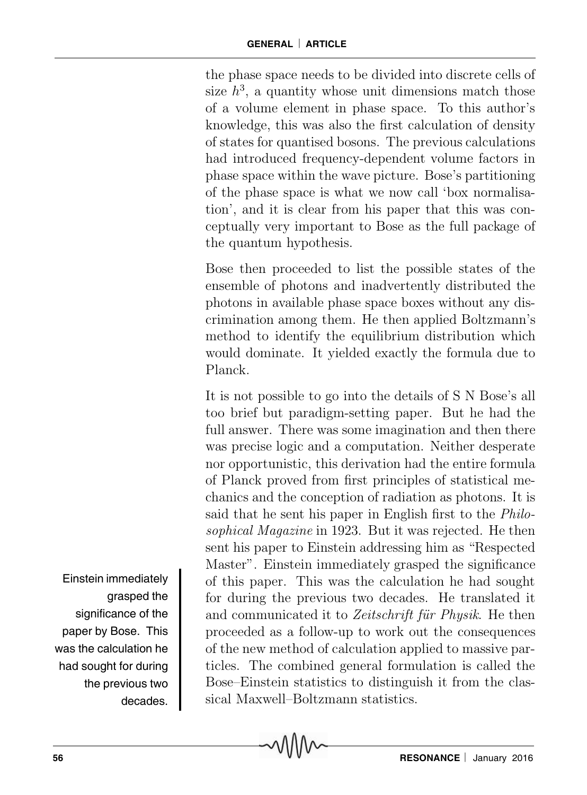the phase space needs to be divided into discrete cells of size  $h^3$ , a quantity whose unit dimensions match those of a volume element in phase space. To this author's knowledge, this was also the first calculation of density of states for quantised bosons. The previous calculations had introduced frequency-dependent volume factors in phase space within the wave picture. Bose's partitioning of the phase space is what we now call 'box normalisation', and it is clear from his paper that this was conceptually very important to Bose as the full package of the quantum hypothesis.

Bose then proceeded to list the possible states of the ensemble of photons and inadvertently distributed the photons in available phase space boxes without any discrimination among them. He then applied Boltzmann's method to identify the equilibrium distribution which would dominate. It yielded exactly the formula due to Planck.

It is not possible to go into the details of S N Bose's all too brief but paradigm-setting paper. But he had the full answer. There was some imagination and then there was precise logic and a computation. Neither desperate nor opportunistic, this derivation had the entire formula of Planck proved from first principles of statistical mechanics and the conception of radiation as photons. It is said that he sent his paper in English first to the *Philo*sophical Magazine in 1923. But it was rejected. He then sent his paper to Einstein addressing him as "Respected Master". Einstein immediately grasped the significance of this paper. This was the calculation he had sought for during the previous two decades. He translated it and communicated it to Zeitschrift für Physik. He then proceeded as a follow-up to work out the consequences of the new method of calculation applied to massive particles. The combined general formulation is called the Bose–Einstein statistics to distinguish it from the classical Maxwell–Boltzmann statistics.

Einstein immediately grasped the significance of the paper by Bose. This was the calculation he had sought for during the previous two decades.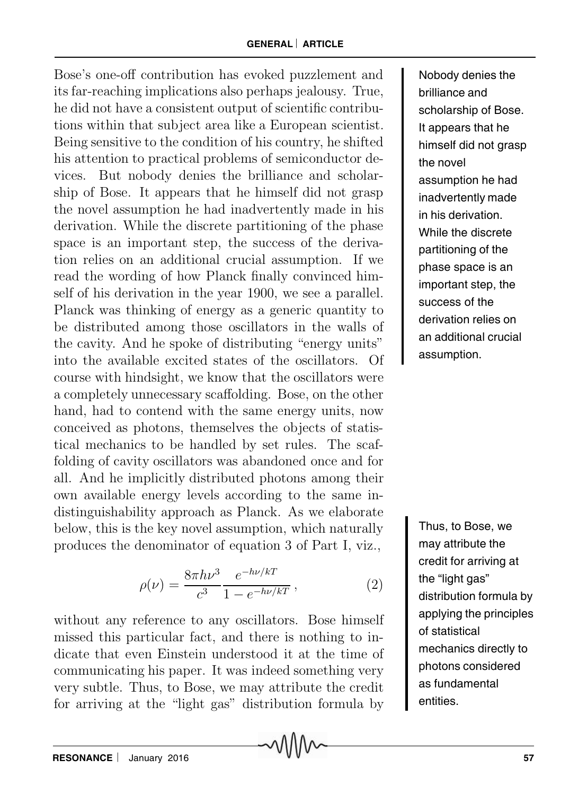Bose's one-off contribution has evoked puzzlement and its far-reaching implications also perhaps jealousy. True, he did not have a consistent output of scientific contributions within that subject area like a European scientist. Being sensitive to the condition of his country, he shifted his attention to practical problems of semiconductor devices. But nobody denies the brilliance and scholarship of Bose. It appears that he himself did not grasp the novel assumption he had inadvertently made in his derivation. While the discrete partitioning of the phase space is an important step, the success of the derivation relies on an additional crucial assumption. If we read the wording of how Planck finally convinced himself of his derivation in the year 1900, we see a parallel. Planck was thinking of energy as a generic quantity to be distributed among those oscillators in the walls of the cavity. And he spoke of distributing "energy units" into the available excited states of the oscillators. Of course with hindsight, we know that the oscillators were a completely unnecessary scaffolding. Bose, on the other hand, had to contend with the same energy units, now conceived as photons, themselves the objects of statistical mechanics to be handled by set rules. The scaffolding of cavity oscillators was abandoned once and for all. And he implicitly distributed photons among their own available energy levels according to the same indistinguishability approach as Planck. As we elaborate below, this is the key novel assumption, which naturally produces the denominator of equation 3 of Part I, viz.,

$$
\rho(\nu) = \frac{8\pi h\nu^3}{c^3} \frac{e^{-h\nu/kT}}{1 - e^{-h\nu/kT}},
$$
\n(2)

without any reference to any oscillators. Bose himself missed this particular fact, and there is nothing to indicate that even Einstein understood it at the time of communicating his paper. It was indeed something very very subtle. Thus, to Bose, we may attribute the credit for arriving at the "light gas" distribution formula by

Nobody denies the brilliance and scholarship of Bose. It appears that he himself did not grasp the novel assumption he had inadvertently made in his derivation. While the discrete partitioning of the phase space is an important step, the success of the derivation relies on an additional crucial assumption.

Thus, to Bose, we may attribute the credit for arriving at the "light gas" distribution formula by applying the principles of statistical mechanics directly to photons considered as fundamental entities.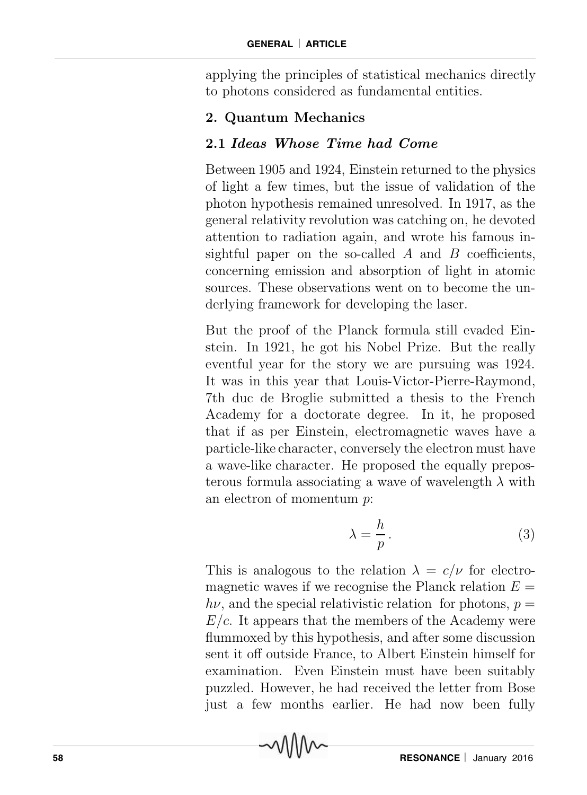applying the principles of statistical mechanics directly to photons considered as fundamental entities.

#### 2. Quantum Mechanics

#### 2.1 Ideas Whose Time had Come

Between 1905 and 1924, Einstein returned to the physics of light a few times, but the issue of validation of the photon hypothesis remained unresolved. In 1917, as the general relativity revolution was catching on, he devoted attention to radiation again, and wrote his famous insightful paper on the so-called  $A$  and  $B$  coefficients, concerning emission and absorption of light in atomic sources. These observations went on to become the underlying framework for developing the laser.

But the proof of the Planck formula still evaded Einstein. In 1921, he got his Nobel Prize. But the really eventful year for the story we are pursuing was 1924. It was in this year that Louis-Victor-Pierre-Raymond, 7th duc de Broglie submitted a thesis to the French Academy for a doctorate degree. In it, he proposed that if as per Einstein, electromagnetic waves have a particle-like character, conversely the electron must have a wave-like character. He proposed the equally preposterous formula associating a wave of wavelength  $\lambda$  with an electron of momentum p:

$$
\lambda = \frac{h}{p} \,. \tag{3}
$$

This is analogous to the relation  $\lambda = c/\nu$  for electromagnetic waves if we recognise the Planck relation  $E =$  $h\nu$ , and the special relativistic relation for photons,  $p =$  $E/c$ . It appears that the members of the Academy were flummoxed by this hypothesis, and after some discussion sent it off outside France, to Albert Einstein himself for examination. Even Einstein must have been suitably puzzled. However, he had received the letter from Bose just a few months earlier. He had now been fully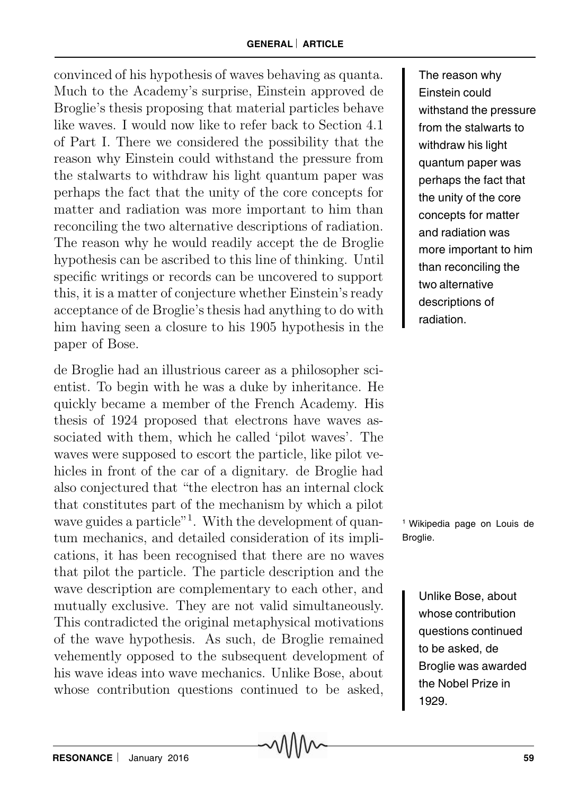convinced of his hypothesis of waves behaving as quanta. Much to the Academy's surprise, Einstein approved de Broglie's thesis proposing that material particles behave like waves. I would now like to refer back to Section 4.1 of Part I. There we considered the possibility that the reason why Einstein could withstand the pressure from the stalwarts to withdraw his light quantum paper was perhaps the fact that the unity of the core concepts for matter and radiation was more important to him than reconciling the two alternative descriptions of radiation. The reason why he would readily accept the de Broglie hypothesis can be ascribed to this line of thinking. Until specific writings or records can be uncovered to support this, it is a matter of conjecture whether Einstein's ready acceptance of de Broglie's thesis had anything to do with him having seen a closure to his 1905 hypothesis in the paper of Bose.

de Broglie had an illustrious career as a philosopher scientist. To begin with he was a duke by inheritance. He quickly became a member of the French Academy. His thesis of 1924 proposed that electrons have waves associated with them, which he called 'pilot waves'. The waves were supposed to escort the particle, like pilot vehicles in front of the car of a dignitary. de Broglie had also conjectured that "the electron has an internal clock that constitutes part of the mechanism by which a pilot wave guides a particle<sup>"1</sup>. With the development of quantum mechanics, and detailed consideration of its implications, it has been recognised that there are no waves that pilot the particle. The particle description and the wave description are complementary to each other, and mutually exclusive. They are not valid simultaneously. This contradicted the original metaphysical motivations of the wave hypothesis. As such, de Broglie remained vehemently opposed to the subsequent development of his wave ideas into wave mechanics. Unlike Bose, about whose contribution questions continued to be asked,

The reason why Einstein could withstand the pressure from the stalwarts to withdraw his light quantum paper was perhaps the fact that the unity of the core concepts for matter and radiation was more important to him than reconciling the two alternative descriptions of radiation.

<sup>1</sup>Wikipedia page on Louis de Broglie.

> Unlike Bose, about whose contribution questions continued to be asked, de Broglie was awarded the Nobel Prize in 1929.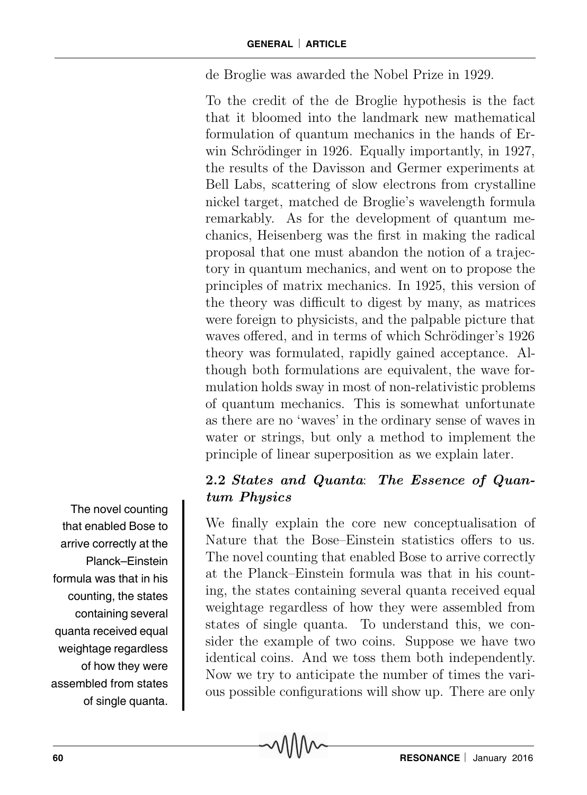de Broglie was awarded the Nobel Prize in 1929.

To the credit of the de Broglie hypothesis is the fact that it bloomed into the landmark new mathematical formulation of quantum mechanics in the hands of Erwin Schrödinger in 1926. Equally importantly, in 1927, the results of the Davisson and Germer experiments at Bell Labs, scattering of slow electrons from crystalline nickel target, matched de Broglie's wavelength formula remarkably. As for the development of quantum mechanics, Heisenberg was the first in making the radical proposal that one must abandon the notion of a trajectory in quantum mechanics, and went on to propose the principles of matrix mechanics. In 1925, this version of the theory was difficult to digest by many, as matrices were foreign to physicists, and the palpable picture that waves offered, and in terms of which Schrödinger's 1926 theory was formulated, rapidly gained acceptance. Although both formulations are equivalent, the wave formulation holds sway in most of non-relativistic problems of quantum mechanics. This is somewhat unfortunate as there are no 'waves' in the ordinary sense of waves in water or strings, but only a method to implement the principle of linear superposition as we explain later.

### 2.2 States and Quanta: The Essence of Quantum Physics

We finally explain the core new conceptualisation of Nature that the Bose–Einstein statistics offers to us. The novel counting that enabled Bose to arrive correctly at the Planck–Einstein formula was that in his counting, the states containing several quanta received equal weightage regardless of how they were assembled from states of single quanta. To understand this, we consider the example of two coins. Suppose we have two identical coins. And we toss them both independently. Now we try to anticipate the number of times the various possible configurations will show up. There are only

The novel counting that enabled Bose to arrive correctly at the Planck–Einstein formula was that in his counting, the states containing several quanta received equal weightage regardless of how they were assembled from states of single quanta.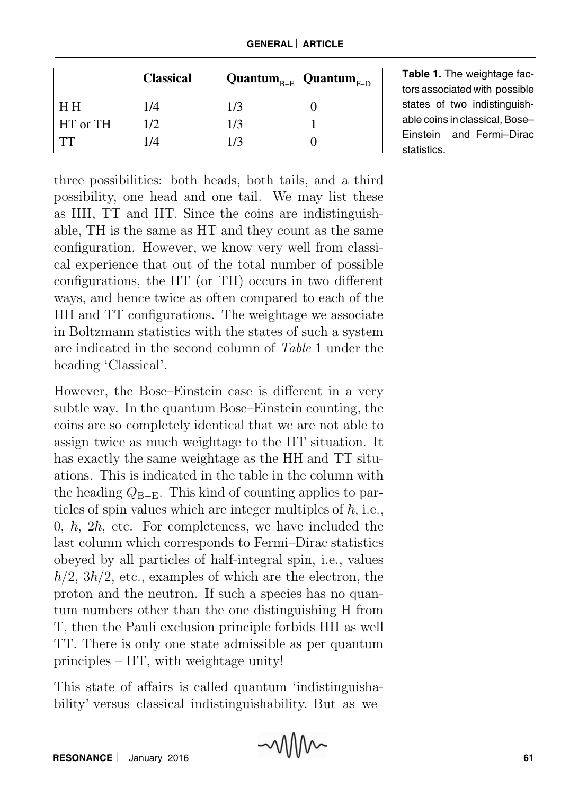|          | <b>Classical</b> |     | Quantum <sub>B-E</sub> Quantum <sub>F-D</sub> |
|----------|------------------|-----|-----------------------------------------------|
| H H      | 1/4              | 1/3 |                                               |
| HT or TH | 1/2              | 1/3 |                                               |
| TT       | 1/4              | 1/3 |                                               |

**Table 1.** The weightage factors associated with possible states of two indistinguishable coins in classical, Bose– Einstein and Fermi–Dirac statistics.

three possibilities: both heads, both tails, and a third possibility, one head and one tail. We may list these as HH, TT and HT. Since the coins are indistinguishable, TH is the same as HT and they count as the same configuration. However, we know very well from classical experience that out of the total number of possible configurations, the HT (or TH) occurs in two different ways, and hence twice as often compared to each of the HH and TT configurations. The weightage we associate in Boltzmann statistics with the states of such a system are indicated in the second column of Table 1 under the heading 'Classical'.

However, the Bose–Einstein case is different in a very subtle way. In the quantum Bose–Einstein counting, the coins are so completely identical that we are not able to assign twice as much weightage to the HT situation. It has exactly the same weightage as the HH and TT situations. This is indicated in the table in the column with the heading  $Q_{\text{B-E}}$ . This kind of counting applies to particles of spin values which are integer multiples of  $\hbar$ , i.e.,  $0, \hbar, 2\hbar,$  etc. For completeness, we have included the last column which corresponds to Fermi–Dirac statistics obeyed by all particles of half-integral spin, i.e., values  $\hbar/2$ ,  $3\hbar/2$ , etc., examples of which are the electron, the proton and the neutron. If such a species has no quantum numbers other than the one distinguishing H from T, then the Pauli exclusion principle forbids HH as well TT. There is only one state admissible as per quantum principles – HT, with weightage unity!

This state of affairs is called quantum 'indistinguishability' versus classical indistinguishability. But as we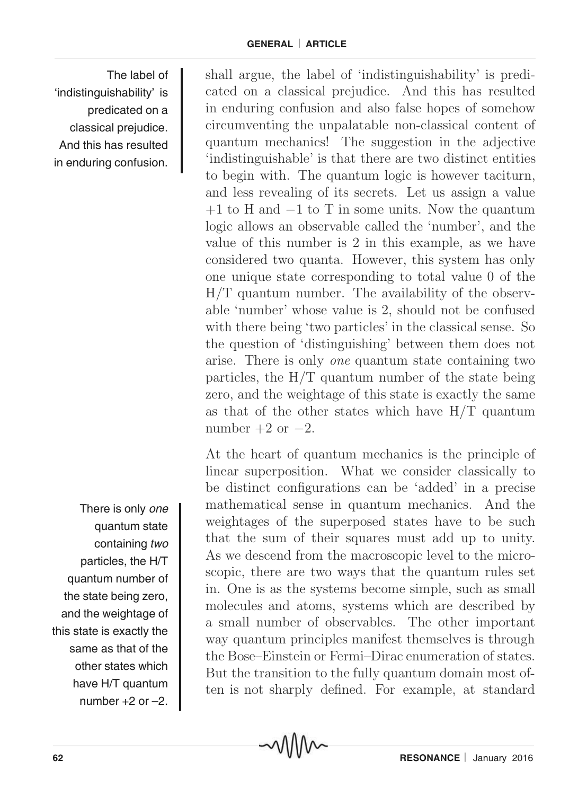The label of 'indistinguishability' is predicated on a classical prejudice. And this has resulted in enduring confusion.

There is only one quantum state containing two particles, the H/T quantum number of the state being zero, and the weightage of this state is exactly the same as that of the other states which have H/T quantum number  $+2$  or  $-2$ .

shall argue, the label of 'indistinguishability' is predicated on a classical prejudice. And this has resulted in enduring confusion and also false hopes of somehow circumventing the unpalatable non-classical content of quantum mechanics! The suggestion in the adjective 'indistinguishable' is that there are two distinct entities to begin with. The quantum logic is however taciturn, and less revealing of its secrets. Let us assign a value  $+1$  to H and  $-1$  to T in some units. Now the quantum logic allows an observable called the 'number', and the value of this number is 2 in this example, as we have considered two quanta. However, this system has only one unique state corresponding to total value 0 of the H/T quantum number. The availability of the observable 'number' whose value is 2, should not be confused with there being 'two particles' in the classical sense. So the question of 'distinguishing' between them does not arise. There is only one quantum state containing two particles, the H/T quantum number of the state being zero, and the weightage of this state is exactly the same as that of the other states which have  $H/T$  quantum number  $+2$  or  $-2$ .

At the heart of quantum mechanics is the principle of linear superposition. What we consider classically to be distinct configurations can be 'added' in a precise mathematical sense in quantum mechanics. And the weightages of the superposed states have to be such that the sum of their squares must add up to unity. As we descend from the macroscopic level to the microscopic, there are two ways that the quantum rules set in. One is as the systems become simple, such as small molecules and atoms, systems which are described by a small number of observables. The other important way quantum principles manifest themselves is through the Bose–Einstein or Fermi–Dirac enumeration of states. But the transition to the fully quantum domain most often is not sharply defined. For example, at standard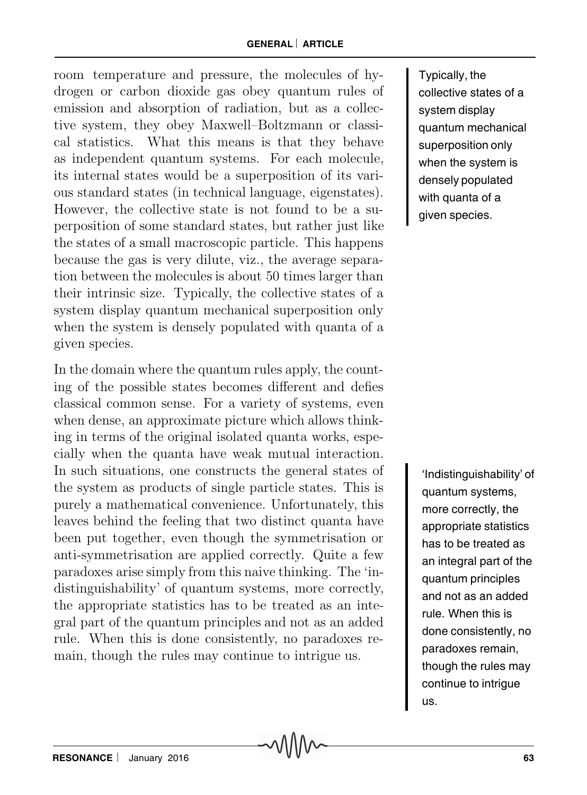room temperature and pressure, the molecules of hydrogen or carbon dioxide gas obey quantum rules of emission and absorption of radiation, but as a collective system, they obey Maxwell–Boltzmann or classical statistics. What this means is that they behave as independent quantum systems. For each molecule, its internal states would be a superposition of its various standard states (in technical language, eigenstates). However, the collective state is not found to be a superposition of some standard states, but rather just like the states of a small macroscopic particle. This happens because the gas is very dilute, viz., the average separation between the molecules is about 50 times larger than their intrinsic size. Typically, the collective states of a system display quantum mechanical superposition only when the system is densely populated with quanta of a given species.

In the domain where the quantum rules apply, the counting of the possible states becomes different and defies classical common sense. For a variety of systems, even when dense, an approximate picture which allows thinking in terms of the original isolated quanta works, especially when the quanta have weak mutual interaction. In such situations, one constructs the general states of the system as products of single particle states. This is purely a mathematical convenience. Unfortunately, this leaves behind the feeling that two distinct quanta have been put together, even though the symmetrisation or anti-symmetrisation are applied correctly. Quite a few paradoxes arise simply from this naive thinking. The 'indistinguishability' of quantum systems, more correctly, the appropriate statistics has to be treated as an integral part of the quantum principles and not as an added rule. When this is done consistently, no paradoxes remain, though the rules may continue to intrigue us.

Typically, the collective states of a system display quantum mechanical superposition only when the system is densely populated with quanta of a given species.

'Indistinguishability' of quantum systems, more correctly, the appropriate statistics has to be treated as an integral part of the quantum principles and not as an added rule. When this is done consistently, no paradoxes remain, though the rules may continue to intrigue us.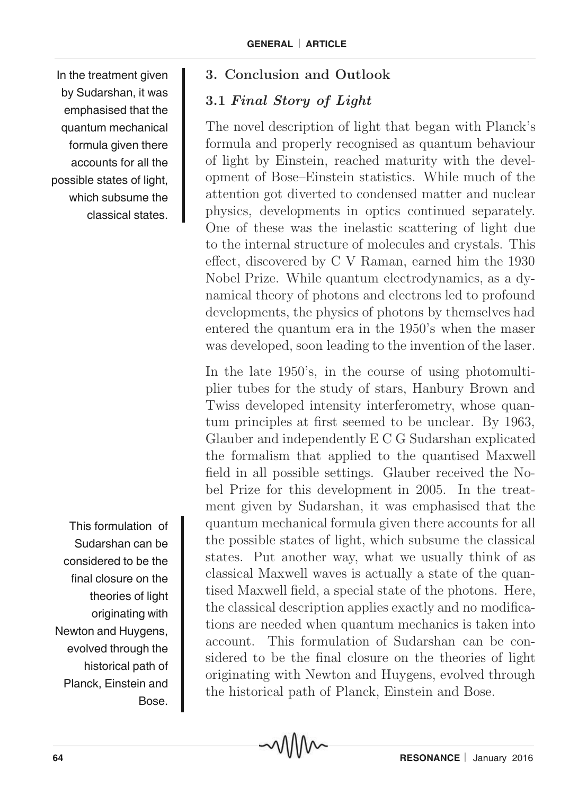In the treatment given by Sudarshan, it was emphasised that the quantum mechanical formula given there accounts for all the possible states of light, which subsume the classical states.

This formulation of Sudarshan can be considered to be the final closure on the theories of light originating with Newton and Huygens, evolved through the historical path of Planck, Einstein and Bose.

#### 3. Conclusion and Outlook

### 3.1 Final Story of Light

The novel description of light that began with Planck's formula and properly recognised as quantum behaviour of light by Einstein, reached maturity with the development of Bose–Einstein statistics. While much of the attention got diverted to condensed matter and nuclear physics, developments in optics continued separately. One of these was the inelastic scattering of light due to the internal structure of molecules and crystals. This effect, discovered by C V Raman, earned him the 1930 Nobel Prize. While quantum electrodynamics, as a dynamical theory of photons and electrons led to profound developments, the physics of photons by themselves had entered the quantum era in the 1950's when the maser was developed, soon leading to the invention of the laser.

In the late 1950's, in the course of using photomultiplier tubes for the study of stars, Hanbury Brown and Twiss developed intensity interferometry, whose quantum principles at first seemed to be unclear. By 1963, Glauber and independently E C G Sudarshan explicated the formalism that applied to the quantised Maxwell field in all possible settings. Glauber received the Nobel Prize for this development in 2005. In the treatment given by Sudarshan, it was emphasised that the quantum mechanical formula given there accounts for all the possible states of light, which subsume the classical states. Put another way, what we usually think of as classical Maxwell waves is actually a state of the quantised Maxwell field, a special state of the photons. Here, the classical description applies exactly and no modifications are needed when quantum mechanics is taken into account. This formulation of Sudarshan can be considered to be the final closure on the theories of light originating with Newton and Huygens, evolved through the historical path of Planck, Einstein and Bose.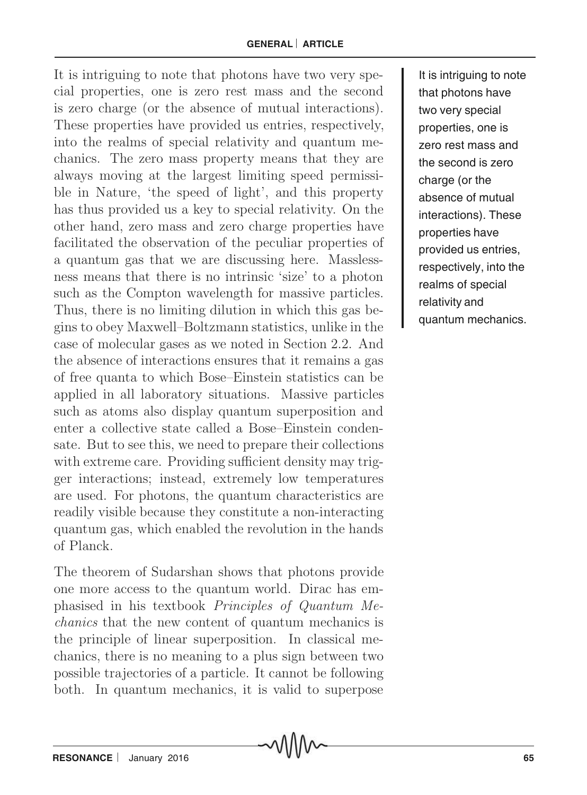It is intriguing to note that photons have two very special properties, one is zero rest mass and the second is zero charge (or the absence of mutual interactions). These properties have provided us entries, respectively, into the realms of special relativity and quantum mechanics. The zero mass property means that they are always moving at the largest limiting speed permissible in Nature, 'the speed of light', and this property has thus provided us a key to special relativity. On the other hand, zero mass and zero charge properties have facilitated the observation of the peculiar properties of a quantum gas that we are discussing here. Masslessness means that there is no intrinsic 'size' to a photon such as the Compton wavelength for massive particles. Thus, there is no limiting dilution in which this gas begins to obey Maxwell–Boltzmann statistics, unlike in the case of molecular gases as we noted in Section 2.2. And the absence of interactions ensures that it remains a gas of free quanta to which Bose–Einstein statistics can be applied in all laboratory situations. Massive particles such as atoms also display quantum superposition and enter a collective state called a Bose–Einstein condensate. But to see this, we need to prepare their collections with extreme care. Providing sufficient density may trigger interactions; instead, extremely low temperatures are used. For photons, the quantum characteristics are readily visible because they constitute a non-interacting quantum gas, which enabled the revolution in the hands of Planck.

The theorem of Sudarshan shows that photons provide one more access to the quantum world. Dirac has emphasised in his textbook Principles of Quantum Mechanics that the new content of quantum mechanics is the principle of linear superposition. In classical mechanics, there is no meaning to a plus sign between two possible trajectories of a particle. It cannot be following both. In quantum mechanics, it is valid to superpose

It is intriguing to note that photons have two very special properties, one is zero rest mass and the second is zero charge (or the absence of mutual interactions). These properties have provided us entries, respectively, into the realms of special relativity and quantum mechanics.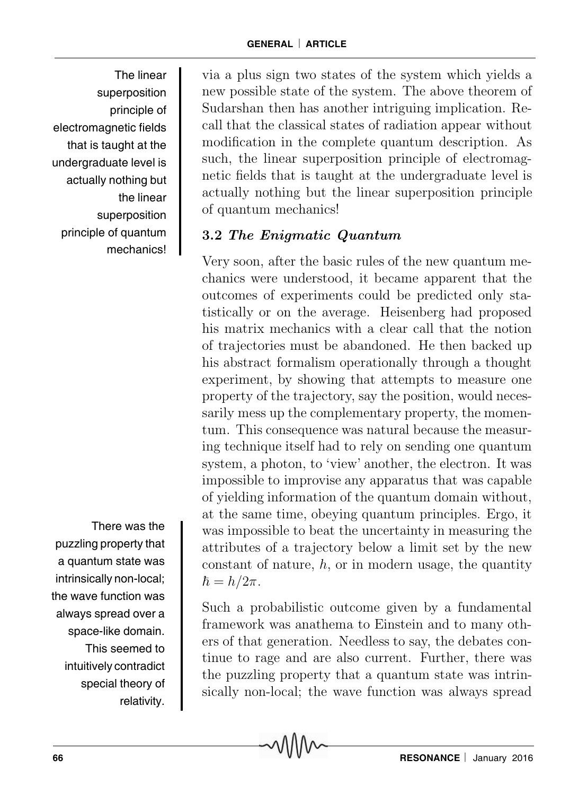The linear superposition principle of electromagnetic fields that is taught at the undergraduate level is actually nothing but the linear superposition principle of quantum mechanics!

There was the puzzling property that a quantum state was intrinsically non-local; the wave function was always spread over a space-like domain. This seemed to intuitively contradict special theory of relativity.

via a plus sign two states of the system which yields a new possible state of the system. The above theorem of Sudarshan then has another intriguing implication. Recall that the classical states of radiation appear without modification in the complete quantum description. As such, the linear superposition principle of electromagnetic fields that is taught at the undergraduate level is actually nothing but the linear superposition principle of quantum mechanics!

#### 3.2 The Enigmatic Quantum

Very soon, after the basic rules of the new quantum mechanics were understood, it became apparent that the outcomes of experiments could be predicted only statistically or on the average. Heisenberg had proposed his matrix mechanics with a clear call that the notion of trajectories must be abandoned. He then backed up his abstract formalism operationally through a thought experiment, by showing that attempts to measure one property of the trajectory, say the position, would necessarily mess up the complementary property, the momentum. This consequence was natural because the measuring technique itself had to rely on sending one quantum system, a photon, to 'view' another, the electron. It was impossible to improvise any apparatus that was capable of yielding information of the quantum domain without, at the same time, obeying quantum principles. Ergo, it was impossible to beat the uncertainty in measuring the attributes of a trajectory below a limit set by the new constant of nature,  $h$ , or in modern usage, the quantity  $\hbar = h/2\pi$ .

Such a probabilistic outcome given by a fundamental framework was anathema to Einstein and to many others of that generation. Needless to say, the debates continue to rage and are also current. Further, there was the puzzling property that a quantum state was intrinsically non-local; the wave function was always spread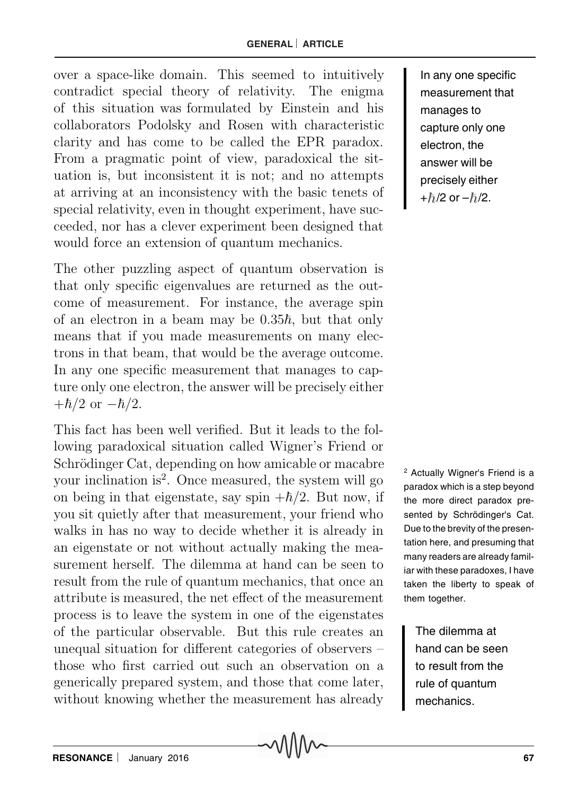over a space-like domain. This seemed to intuitively contradict special theory of relativity. The enigma of this situation was formulated by Einstein and his collaborators Podolsky and Rosen with characteristic clarity and has come to be called the EPR paradox. From a pragmatic point of view, paradoxical the situation is, but inconsistent it is not; and no attempts at arriving at an inconsistency with the basic tenets of special relativity, even in thought experiment, have succeeded, nor has a clever experiment been designed that would force an extension of quantum mechanics.

The other puzzling aspect of quantum observation is that only specific eigenvalues are returned as the outcome of measurement. For instance, the average spin of an electron in a beam may be  $0.35\hbar$ , but that only means that if you made measurements on many electrons in that beam, that would be the average outcome. In any one specific measurement that manages to capture only one electron, the answer will be precisely either  $+\hbar/2$  or  $-\hbar/2$ .

This fact has been well verified. But it leads to the following paradoxical situation called Wigner's Friend or Schrödinger Cat, depending on how amicable or macabre your inclination is<sup>2</sup>. Once measured, the system will go on being in that eigenstate, say spin  $+\hbar/2$ . But now, if you sit quietly after that measurement, your friend who walks in has no way to decide whether it is already in an eigenstate or not without actually making the measurement herself. The dilemma at hand can be seen to result from the rule of quantum mechanics, that once an attribute is measured, the net effect of the measurement process is to leave the system in one of the eigenstates of the particular observable. But this rule creates an unequal situation for different categories of observers – those who first carried out such an observation on a generically prepared system, and those that come later, without knowing whether the measurement has already

In any one specific measurement that manages to capture only one electron, the answer will be precisely either  $+\hbar/2$  or  $-\hbar/2$ .

2 Actually Wigner's Friend is a paradox which is a step beyond the more direct paradox presented by Schrödinger's Cat. Due to the brevity of the presentation here, and presuming that many readers are already familiar with these paradoxes, I have taken the liberty to speak of them together.

The dilemma at hand can be seen to result from the rule of quantum mechanics.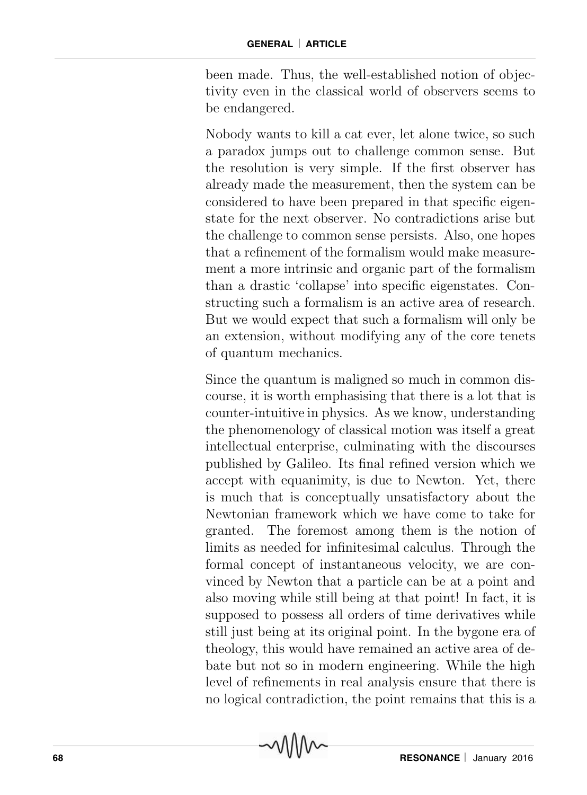been made. Thus, the well-established notion of objectivity even in the classical world of observers seems to be endangered.

Nobody wants to kill a cat ever, let alone twice, so such a paradox jumps out to challenge common sense. But the resolution is very simple. If the first observer has already made the measurement, then the system can be considered to have been prepared in that specific eigenstate for the next observer. No contradictions arise but the challenge to common sense persists. Also, one hopes that a refinement of the formalism would make measurement a more intrinsic and organic part of the formalism than a drastic 'collapse' into specific eigenstates. Constructing such a formalism is an active area of research. But we would expect that such a formalism will only be an extension, without modifying any of the core tenets of quantum mechanics.

Since the quantum is maligned so much in common discourse, it is worth emphasising that there is a lot that is counter-intuitive in physics. As we know, understanding the phenomenology of classical motion was itself a great intellectual enterprise, culminating with the discourses published by Galileo. Its final refined version which we accept with equanimity, is due to Newton. Yet, there is much that is conceptually unsatisfactory about the Newtonian framework which we have come to take for granted. The foremost among them is the notion of limits as needed for infinitesimal calculus. Through the formal concept of instantaneous velocity, we are convinced by Newton that a particle can be at a point and also moving while still being at that point! In fact, it is supposed to possess all orders of time derivatives while still just being at its original point. In the bygone era of theology, this would have remained an active area of debate but not so in modern engineering. While the high level of refinements in real analysis ensure that there is no logical contradiction, the point remains that this is a